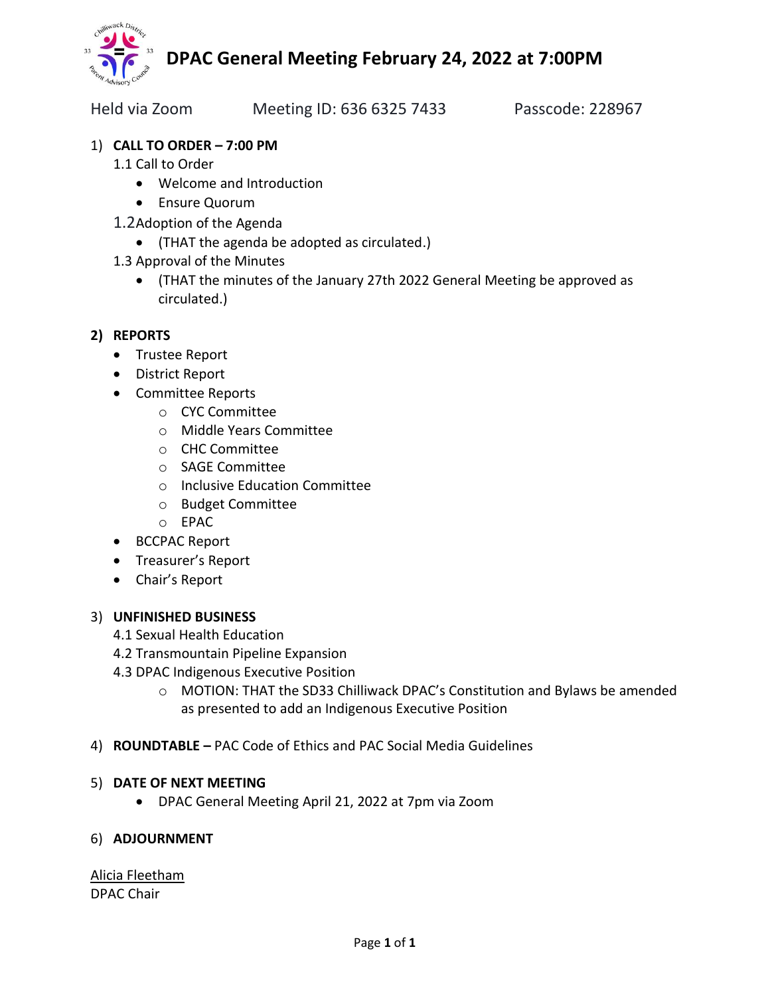

Held via Zoom Meeting ID: 636 6325 7433 Passcode: 228967

## 1) **CALL TO ORDER – 7:00 PM**

- 1.1 Call to Order
	- Welcome and Introduction
	- Ensure Quorum
- 1.2Adoption of the Agenda
	- (THAT the agenda be adopted as circulated.)
- 1.3 Approval of the Minutes
	- (THAT the minutes of the January 27th 2022 General Meeting be approved as circulated.)

## **2) REPORTS**

- Trustee Report
- District Report
- Committee Reports
	- o CYC Committee
	- o Middle Years Committee
	- o CHC Committee
	- o SAGE Committee
	- o Inclusive Education Committee
	- o Budget Committee
	- o EPAC
- BCCPAC Report
- Treasurer's Report
- Chair's Report

### 3) **UNFINISHED BUSINESS**

- 4.1 Sexual Health Education
- 4.2 Transmountain Pipeline Expansion
- 4.3 DPAC Indigenous Executive Position
	- o MOTION: THAT the SD33 Chilliwack DPAC's Constitution and Bylaws be amended as presented to add an Indigenous Executive Position
- 4) **ROUNDTABLE –** PAC Code of Ethics and PAC Social Media Guidelines

### 5) **DATE OF NEXT MEETING**

• DPAC General Meeting April 21, 2022 at 7pm via Zoom

### 6) **ADJOURNMENT**

Alicia Fleetham DPAC Chair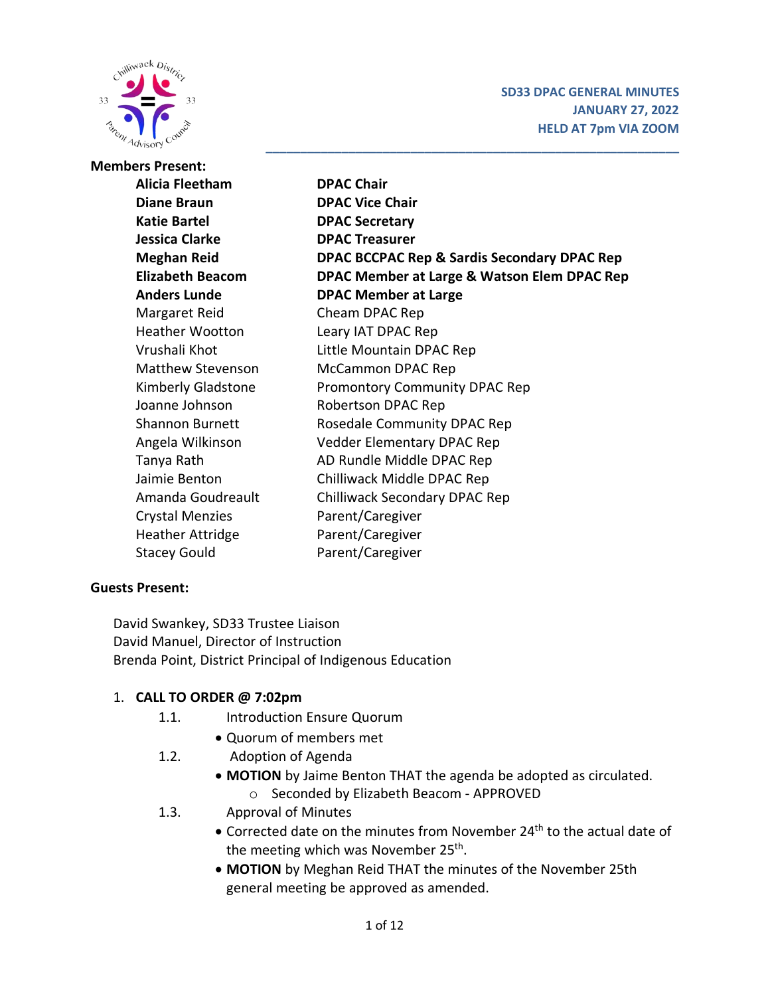

**\_\_\_\_\_\_\_\_\_\_\_\_\_\_\_\_\_\_\_\_\_\_\_\_\_\_\_\_\_\_\_\_\_\_\_\_\_\_\_\_\_\_\_\_\_\_\_\_\_\_\_\_\_\_\_\_\_\_\_\_**

| <b>Members Present:</b>  |                                             |  |  |  |  |
|--------------------------|---------------------------------------------|--|--|--|--|
| Alicia Fleetham          | <b>DPAC Chair</b>                           |  |  |  |  |
| <b>Diane Braun</b>       | <b>DPAC Vice Chair</b>                      |  |  |  |  |
| <b>Katie Bartel</b>      | <b>DPAC Secretary</b>                       |  |  |  |  |
| <b>Jessica Clarke</b>    | <b>DPAC Treasurer</b>                       |  |  |  |  |
| <b>Meghan Reid</b>       | DPAC BCCPAC Rep & Sardis Secondary DPAC Rep |  |  |  |  |
| <b>Elizabeth Beacom</b>  | DPAC Member at Large & Watson Elem DPAC Rep |  |  |  |  |
| <b>Anders Lunde</b>      | <b>DPAC Member at Large</b>                 |  |  |  |  |
| Margaret Reid            | Cheam DPAC Rep                              |  |  |  |  |
| <b>Heather Wootton</b>   | Leary IAT DPAC Rep                          |  |  |  |  |
| Vrushali Khot            | Little Mountain DPAC Rep                    |  |  |  |  |
| <b>Matthew Stevenson</b> | McCammon DPAC Rep                           |  |  |  |  |
| Kimberly Gladstone       | Promontory Community DPAC Rep               |  |  |  |  |
| Joanne Johnson           | Robertson DPAC Rep                          |  |  |  |  |
| <b>Shannon Burnett</b>   | Rosedale Community DPAC Rep                 |  |  |  |  |
| Angela Wilkinson         | <b>Vedder Elementary DPAC Rep</b>           |  |  |  |  |
| Tanya Rath               | AD Rundle Middle DPAC Rep                   |  |  |  |  |
| Jaimie Benton            | Chilliwack Middle DPAC Rep                  |  |  |  |  |
| Amanda Goudreault        | Chilliwack Secondary DPAC Rep               |  |  |  |  |
| <b>Crystal Menzies</b>   | Parent/Caregiver                            |  |  |  |  |
| <b>Heather Attridge</b>  | Parent/Caregiver                            |  |  |  |  |
| <b>Stacey Gould</b>      | Parent/Caregiver                            |  |  |  |  |

### **Guests Present:**

David Swankey, SD33 Trustee Liaison David Manuel, Director of Instruction Brenda Point, District Principal of Indigenous Education

### 1. **CALL TO ORDER @ 7:02pm**

- 1.1. Introduction Ensure Quorum
	- Quorum of members met
- 1.2. Adoption of Agenda
	- **MOTION** by Jaime Benton THAT the agenda be adopted as circulated.
		- o Seconded by Elizabeth Beacom APPROVED
- 1.3. Approval of Minutes
	- Corrected date on the minutes from November 24<sup>th</sup> to the actual date of the meeting which was November 25<sup>th</sup>.
	- **MOTION** by Meghan Reid THAT the minutes of the November 25th general meeting be approved as amended.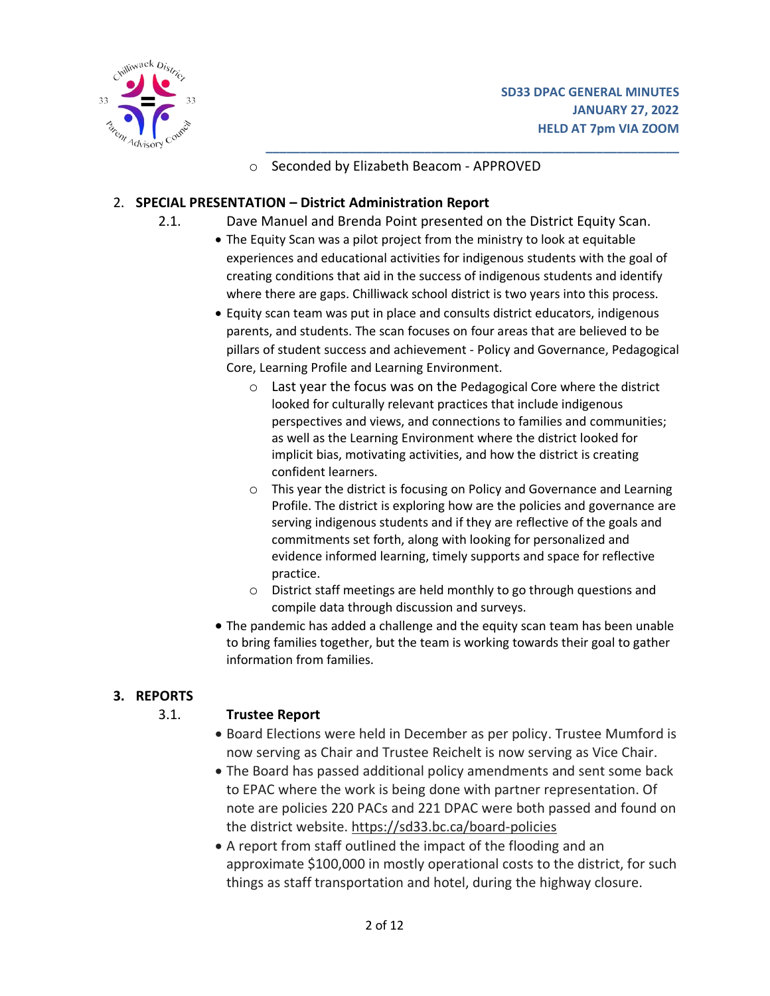



o Seconded by Elizabeth Beacom - APPROVED

#### 2. **SPECIAL PRESENTATION – District Administration Report**

- 2.1. Dave Manuel and Brenda Point presented on the District Equity Scan.
	- The Equity Scan was a pilot project from the ministry to look at equitable experiences and educational activities for indigenous students with the goal of creating conditions that aid in the success of indigenous students and identify where there are gaps. Chilliwack school district is two years into this process.

**\_\_\_\_\_\_\_\_\_\_\_\_\_\_\_\_\_\_\_\_\_\_\_\_\_\_\_\_\_\_\_\_\_\_\_\_\_\_\_\_\_\_\_\_\_\_\_\_\_\_\_\_\_\_\_\_\_\_\_\_**

- Equity scan team was put in place and consults district educators, indigenous parents, and students. The scan focuses on four areas that are believed to be pillars of student success and achievement - Policy and Governance, Pedagogical Core, Learning Profile and Learning Environment.
	- o Last year the focus was on the Pedagogical Core where the district looked for culturally relevant practices that include indigenous perspectives and views, and connections to families and communities; as well as the Learning Environment where the district looked for implicit bias, motivating activities, and how the district is creating confident learners.
	- o This year the district is focusing on Policy and Governance and Learning Profile. The district is exploring how are the policies and governance are serving indigenous students and if they are reflective of the goals and commitments set forth, along with looking for personalized and evidence informed learning, timely supports and space for reflective practice.
	- o District staff meetings are held monthly to go through questions and compile data through discussion and surveys.
- The pandemic has added a challenge and the equity scan team has been unable to bring families together, but the team is working towards their goal to gather information from families.

### **3. REPORTS**

### 3.1. **Trustee Report**

- Board Elections were held in December as per policy. Trustee Mumford is now serving as Chair and Trustee Reichelt is now serving as Vice Chair.
- The Board has passed additional policy amendments and sent some back to EPAC where the work is being done with partner representation. Of note are policies 220 PACs and 221 DPAC were both passed and found on the district website. <https://sd33.bc.ca/board-policies>
- A report from staff outlined the impact of the flooding and an approximate \$100,000 in mostly operational costs to the district, for such things as staff transportation and hotel, during the highway closure.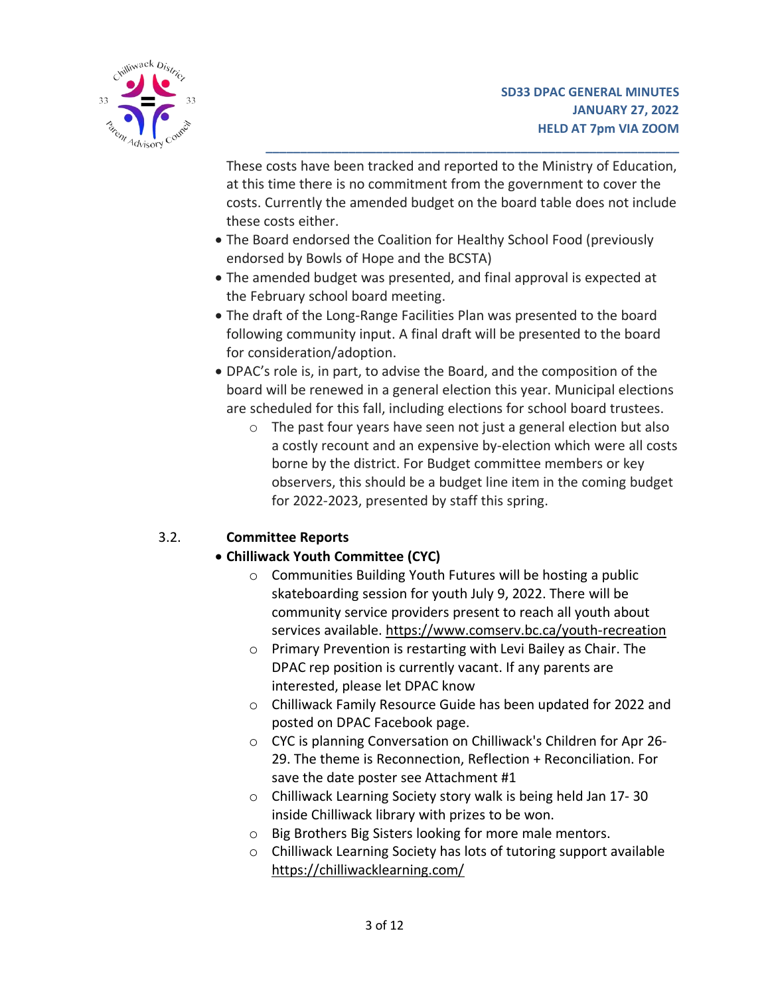

These costs have been tracked and reported to the Ministry of Education, at this time there is no commitment from the government to cover the costs. Currently the amended budget on the board table does not include these costs either.

**\_\_\_\_\_\_\_\_\_\_\_\_\_\_\_\_\_\_\_\_\_\_\_\_\_\_\_\_\_\_\_\_\_\_\_\_\_\_\_\_\_\_\_\_\_\_\_\_\_\_\_\_\_\_\_\_\_\_\_\_**

- The Board endorsed the Coalition for Healthy School Food (previously endorsed by Bowls of Hope and the BCSTA)
- The amended budget was presented, and final approval is expected at the February school board meeting.
- The draft of the Long-Range Facilities Plan was presented to the board following community input. A final draft will be presented to the board for consideration/adoption.
- DPAC's role is, in part, to advise the Board, and the composition of the board will be renewed in a general election this year. Municipal elections are scheduled for this fall, including elections for school board trustees.
	- o The past four years have seen not just a general election but also a costly recount and an expensive by-election which were all costs borne by the district. For Budget committee members or key observers, this should be a budget line item in the coming budget for 2022-2023, presented by staff this spring.

# 3.2. **Committee Reports**

# • **Chilliwack Youth Committee (CYC)**

- o Communities Building Youth Futures will be hosting a public skateboarding session for youth July 9, 2022. There will be community service providers present to reach all youth about services available. <https://www.comserv.bc.ca/youth-recreation>
- o Primary Prevention is restarting with Levi Bailey as Chair. The DPAC rep position is currently vacant. If any parents are interested, please let DPAC know
- o Chilliwack Family Resource Guide has been updated for 2022 and posted on DPAC Facebook page.
- o CYC is planning Conversation on Chilliwack's Children for Apr 26- 29. The theme is Reconnection, Reflection + Reconciliation. For save the date poster see Attachment #1
- o Chilliwack Learning Society story walk is being held Jan 17- 30 inside Chilliwack library with prizes to be won.
- o Big Brothers Big Sisters looking for more male mentors.
- o Chilliwack Learning Society has lots of tutoring support available <https://chilliwacklearning.com/>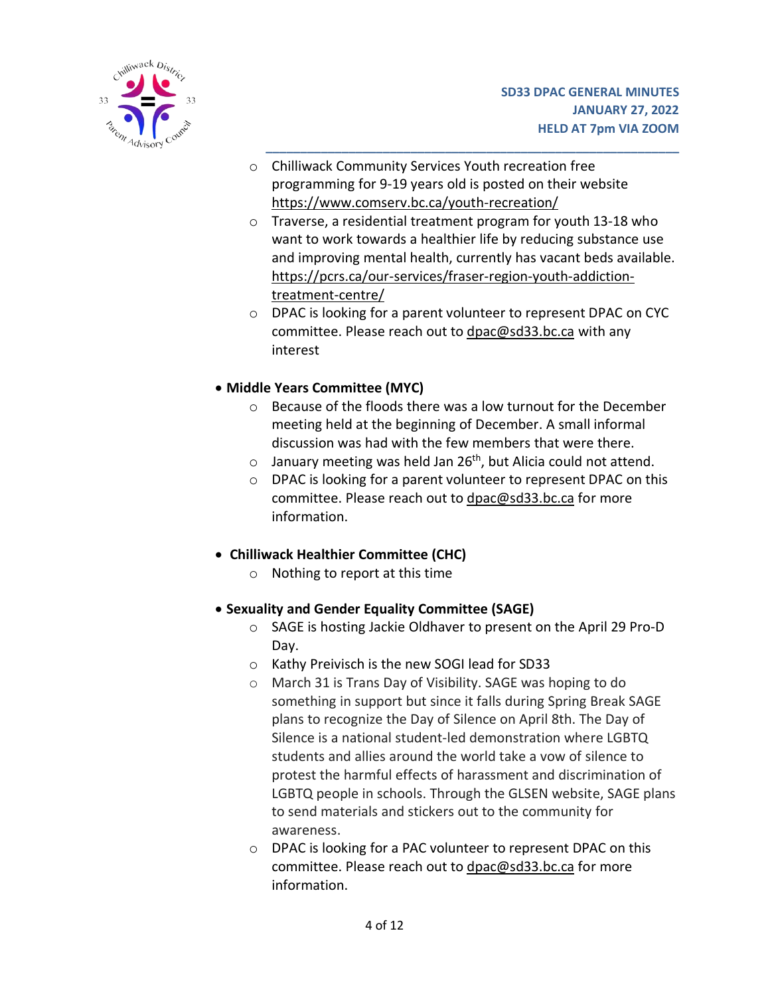

- o Chilliwack Community Services Youth recreation free programming for 9-19 years old is posted on their website <https://www.comserv.bc.ca/youth-recreation/>
- o Traverse, a residential treatment program for youth 13-18 who want to work towards a healthier life by reducing substance use and improving mental health, currently has vacant beds available. [https://pcrs.ca/our-services/fraser-region-youth-addiction](https://pcrs.ca/our-services/fraser-region-youth-addiction-treatment-centre/)[treatment-centre/](https://pcrs.ca/our-services/fraser-region-youth-addiction-treatment-centre/)

**\_\_\_\_\_\_\_\_\_\_\_\_\_\_\_\_\_\_\_\_\_\_\_\_\_\_\_\_\_\_\_\_\_\_\_\_\_\_\_\_\_\_\_\_\_\_\_\_\_\_\_\_\_\_\_\_\_\_\_\_**

- o DPAC is looking for a parent volunteer to represent DPAC on CYC committee. Please reach out to [dpac@sd33.bc.ca](mailto:dpac@sd33.bc.ca) with any interest
- **Middle Years Committee (MYC)**
	- o Because of the floods there was a low turnout for the December meeting held at the beginning of December. A small informal discussion was had with the few members that were there.
	- $\circ$  January meeting was held Jan 26<sup>th</sup>, but Alicia could not attend.
	- o DPAC is looking for a parent volunteer to represent DPAC on this committee. Please reach out to [dpac@sd33.bc.ca](mailto:dpac@sd33.bc.ca) for more information.
- **Chilliwack Healthier Committee (CHC)**
	- o Nothing to report at this time
- **Sexuality and Gender Equality Committee (SAGE)**
	- o SAGE is hosting Jackie Oldhaver to present on the April 29 Pro-D Day.
	- o Kathy Preivisch is the new SOGI lead for SD33
	- o March 31 is Trans Day of Visibility. SAGE was hoping to do something in support but since it falls during Spring Break SAGE plans to recognize the Day of Silence on April 8th. The Day of Silence is a national student-led demonstration where LGBTQ students and allies around the world take a vow of silence to protest the harmful effects of harassment and discrimination of LGBTQ people in schools. Through the GLSEN website, SAGE plans to send materials and stickers out to the community for awareness.
	- o DPAC is looking for a PAC volunteer to represent DPAC on this committee. Please reach out to [dpac@sd33.bc.ca](mailto:dpac@sd33.bc.ca) for more information.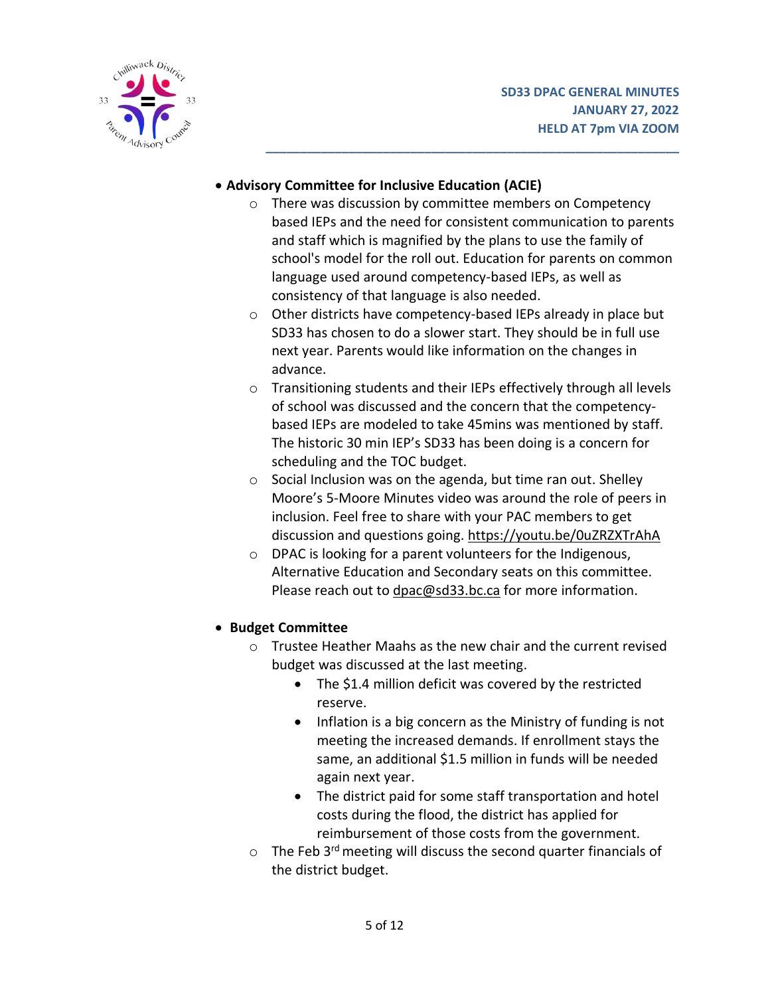

## • **Advisory Committee for Inclusive Education (ACIE)**

o There was discussion by committee members on Competency based IEPs and the need for consistent communication to parents and staff which is magnified by the plans to use the family of school's model for the roll out. Education for parents on common language used around competency-based IEPs, as well as consistency of that language is also needed.

**\_\_\_\_\_\_\_\_\_\_\_\_\_\_\_\_\_\_\_\_\_\_\_\_\_\_\_\_\_\_\_\_\_\_\_\_\_\_\_\_\_\_\_\_\_\_\_\_\_\_\_\_\_\_\_\_\_\_\_\_**

- o Other districts have competency-based IEPs already in place but SD33 has chosen to do a slower start. They should be in full use next year. Parents would like information on the changes in advance.
- o Transitioning students and their IEPs effectively through all levels of school was discussed and the concern that the competencybased IEPs are modeled to take 45mins was mentioned by staff. The historic 30 min IEP's SD33 has been doing is a concern for scheduling and the TOC budget.
- o Social Inclusion was on the agenda, but time ran out. Shelley Moore's 5-Moore Minutes video was around the role of peers in inclusion. Feel free to share with your PAC members to get discussion and questions going. <https://youtu.be/0uZRZXTrAhA>
- o DPAC is looking for a parent volunteers for the Indigenous, Alternative Education and Secondary seats on this committee. Please reach out to [dpac@sd33.bc.ca](mailto:dpac@sd33.bc.ca) for more information.

# • **Budget Committee**

- o Trustee Heather Maahs as the new chair and the current revised budget was discussed at the last meeting.
	- The \$1.4 million deficit was covered by the restricted reserve.
	- Inflation is a big concern as the Ministry of funding is not meeting the increased demands. If enrollment stays the same, an additional \$1.5 million in funds will be needed again next year.
	- The district paid for some staff transportation and hotel costs during the flood, the district has applied for reimbursement of those costs from the government.
- $\circ$  The Feb 3<sup>rd</sup> meeting will discuss the second quarter financials of the district budget.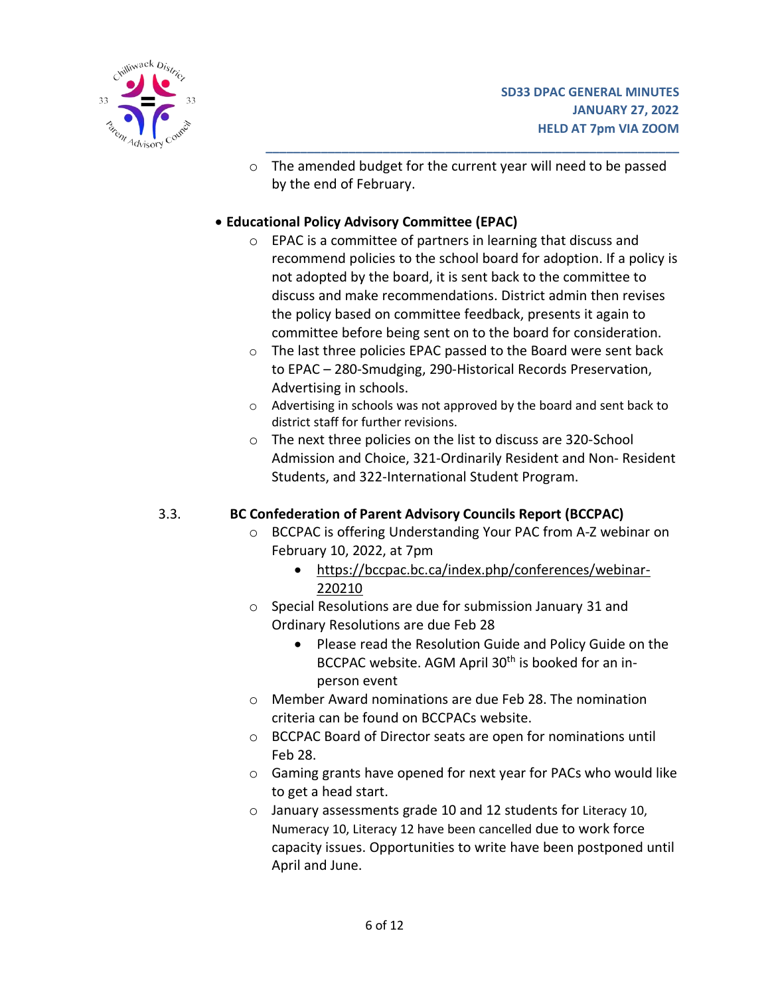

o The amended budget for the current year will need to be passed by the end of February.

**\_\_\_\_\_\_\_\_\_\_\_\_\_\_\_\_\_\_\_\_\_\_\_\_\_\_\_\_\_\_\_\_\_\_\_\_\_\_\_\_\_\_\_\_\_\_\_\_\_\_\_\_\_\_\_\_\_\_\_\_**

### • **Educational Policy Advisory Committee (EPAC)**

- o EPAC is a committee of partners in learning that discuss and recommend policies to the school board for adoption. If a policy is not adopted by the board, it is sent back to the committee to discuss and make recommendations. District admin then revises the policy based on committee feedback, presents it again to committee before being sent on to the board for consideration.
- o The last three policies EPAC passed to the Board were sent back to EPAC – 280-Smudging, 290-Historical Records Preservation, Advertising in schools.
- o Advertising in schools was not approved by the board and sent back to district staff for further revisions.
- o The next three policies on the list to discuss are 320-School Admission and Choice, 321-Ordinarily Resident and Non- Resident Students, and 322-International Student Program.

## 3.3. **BC Confederation of Parent Advisory Councils Report (BCCPAC)**

- o BCCPAC is offering Understanding Your PAC from A-Z webinar on February 10, 2022, at 7pm
	- https://bccpac.bc.ca/index.php/conferences/webinar-220210
- o Special Resolutions are due for submission January 31 and Ordinary Resolutions are due Feb 28
	- Please read the Resolution Guide and Policy Guide on the BCCPAC website. AGM April 30<sup>th</sup> is booked for an inperson event
- o Member Award nominations are due Feb 28. The nomination criteria can be found on BCCPACs website.
- o BCCPAC Board of Director seats are open for nominations until Feb 28.
- o Gaming grants have opened for next year for PACs who would like to get a head start.
- o January assessments grade 10 and 12 students for Literacy 10, Numeracy 10, Literacy 12 have been cancelled due to work force capacity issues. Opportunities to write have been postponed until April and June.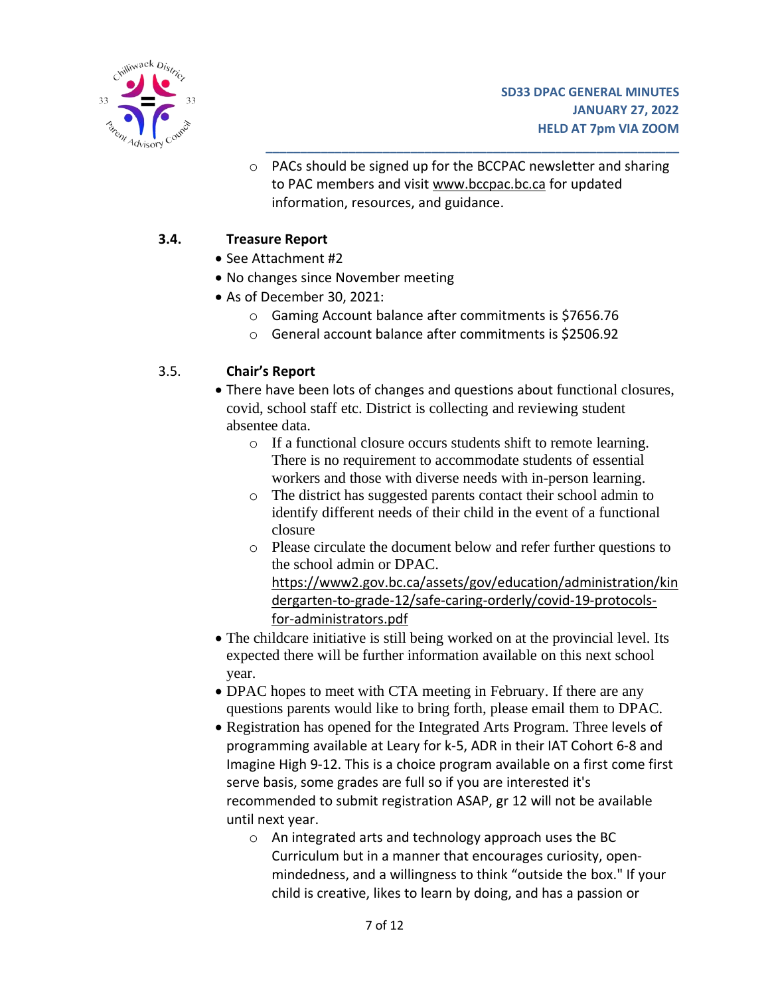

o PACs should be signed up for the BCCPAC newsletter and sharing to PAC members and visit www[.bccpac.bc.ca](https://bccpac.bc.ca/) for updated information, resources, and guidance.

**\_\_\_\_\_\_\_\_\_\_\_\_\_\_\_\_\_\_\_\_\_\_\_\_\_\_\_\_\_\_\_\_\_\_\_\_\_\_\_\_\_\_\_\_\_\_\_\_\_\_\_\_\_\_\_\_\_\_\_\_**

### **3.4. Treasure Report**

- See Attachment #2
- No changes since November meeting
- As of December 30, 2021:
	- o Gaming Account balance after commitments is \$7656.76
	- o General account balance after commitments is \$2506.92

### 3.5. **Chair's Report**

- There have been lots of changes and questions about functional closures, covid, school staff etc. District is collecting and reviewing student absentee data.
	- o If a functional closure occurs students shift to remote learning. There is no requirement to accommodate students of essential workers and those with diverse needs with in-person learning.
	- o The district has suggested parents contact their school admin to identify different needs of their child in the event of a functional closure
	- o Please circulate the document below and refer further questions to the school admin or DPAC.

https://www2.gov.bc.ca/assets/gov/education/administration/kin dergarten-to-grade-12/safe-caring-orderly/covid-19-protocolsfor-administrators.pdf

- The childcare initiative is still being worked on at the provincial level. Its expected there will be further information available on this next school year.
- DPAC hopes to meet with CTA meeting in February. If there are any questions parents would like to bring forth, please email them to DPAC.
- Registration has opened for the Integrated Arts Program. Three levels of programming available at Leary for k-5, ADR in their IAT Cohort 6-8 and Imagine High 9-12. This is a choice program available on a first come first serve basis, some grades are full so if you are interested it's recommended to submit registration ASAP, gr 12 will not be available until next year.
	- o An integrated arts and technology approach uses the BC Curriculum but in a manner that encourages curiosity, openmindedness, and a willingness to think "outside the box." If your child is creative, likes to learn by doing, and has a passion or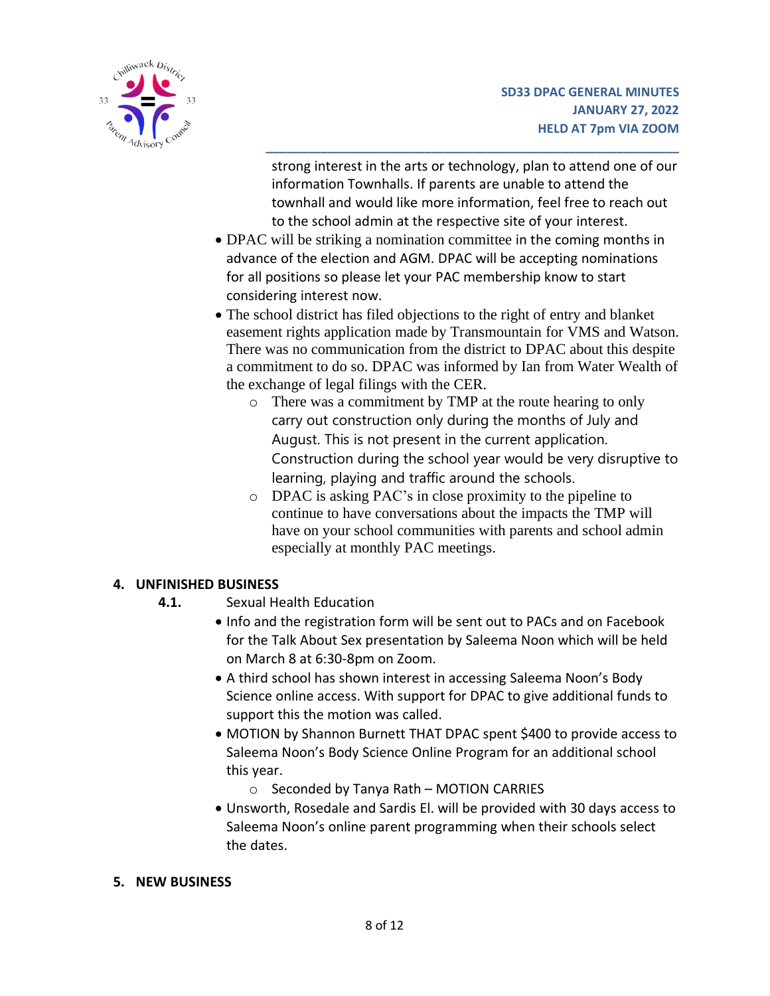

strong interest in the arts or technology, plan to attend one of our information Townhalls. If parents are unable to attend the townhall and would like more information, feel free to reach out to the school admin at the respective site of your interest.

**\_\_\_\_\_\_\_\_\_\_\_\_\_\_\_\_\_\_\_\_\_\_\_\_\_\_\_\_\_\_\_\_\_\_\_\_\_\_\_\_\_\_\_\_\_\_\_\_\_\_\_\_\_\_\_\_\_\_\_\_**

- DPAC will be striking a nomination committee in the coming months in advance of the election and AGM. DPAC will be accepting nominations for all positions so please let your PAC membership know to start considering interest now.
- The school district has filed objections to the right of entry and blanket easement rights application made by Transmountain for VMS and Watson. There was no communication from the district to DPAC about this despite a commitment to do so. DPAC was informed by Ian from Water Wealth of the exchange of legal filings with the CER.
	- o There was a commitment by TMP at the route hearing to only carry out construction only during the months of July and August. This is not present in the current application. Construction during the school year would be very disruptive to learning, playing and traffic around the schools.
	- o DPAC is asking PAC's in close proximity to the pipeline to continue to have conversations about the impacts the TMP will have on your school communities with parents and school admin especially at monthly PAC meetings.

## **4. UNFINISHED BUSINESS**

- **4.1.** Sexual Health Education
	- Info and the registration form will be sent out to PACs and on Facebook for the Talk About Sex presentation by Saleema Noon which will be held on March 8 at 6:30-8pm on Zoom.
	- A third school has shown interest in accessing Saleema Noon's Body Science online access. With support for DPAC to give additional funds to support this the motion was called.
	- MOTION by Shannon Burnett THAT DPAC spent \$400 to provide access to Saleema Noon's Body Science Online Program for an additional school this year.
		- o Seconded by Tanya Rath MOTION CARRIES
	- Unsworth, Rosedale and Sardis El. will be provided with 30 days access to Saleema Noon's online parent programming when their schools select the dates.

#### **5. NEW BUSINESS**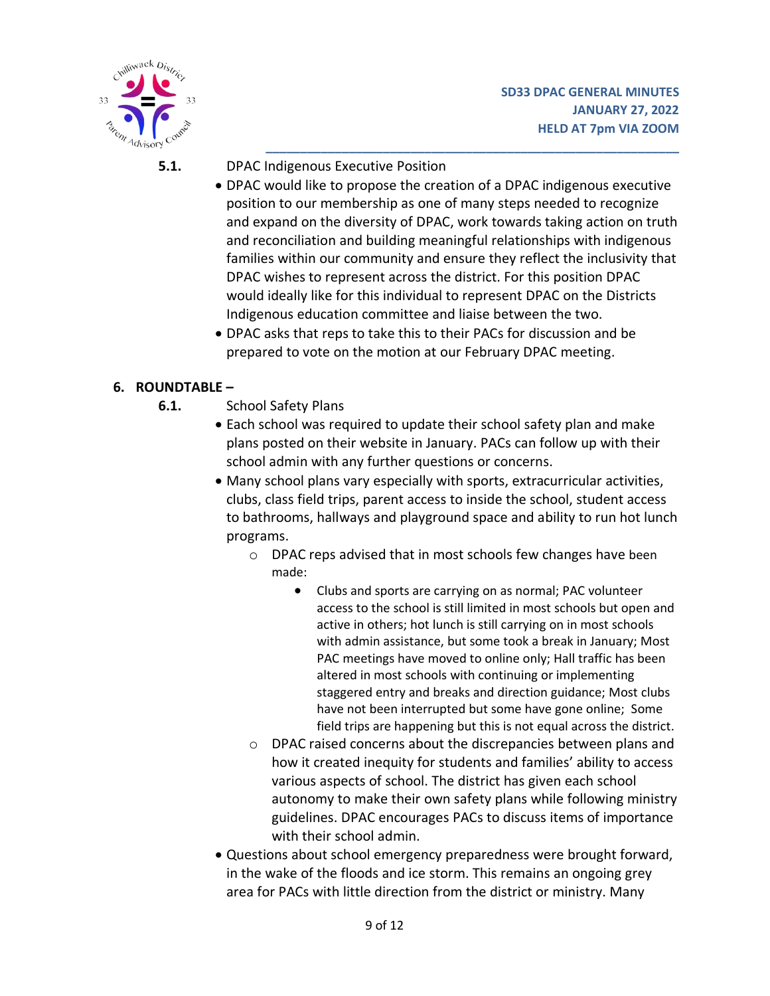

**5.1.** DPAC Indigenous Executive Position

• DPAC would like to propose the creation of a DPAC indigenous executive position to our membership as one of many steps needed to recognize and expand on the diversity of DPAC, work towards taking action on truth and reconciliation and building meaningful relationships with indigenous families within our community and ensure they reflect the inclusivity that DPAC wishes to represent across the district. For this position DPAC would ideally like for this individual to represent DPAC on the Districts Indigenous education committee and liaise between the two.

**\_\_\_\_\_\_\_\_\_\_\_\_\_\_\_\_\_\_\_\_\_\_\_\_\_\_\_\_\_\_\_\_\_\_\_\_\_\_\_\_\_\_\_\_\_\_\_\_\_\_\_\_\_\_\_\_\_\_\_\_**

• DPAC asks that reps to take this to their PACs for discussion and be prepared to vote on the motion at our February DPAC meeting.

### **6. ROUNDTABLE –**

- **6.1.** School Safety Plans
	- Each school was required to update their school safety plan and make plans posted on their website in January. PACs can follow up with their school admin with any further questions or concerns.
	- Many school plans vary especially with sports, extracurricular activities, clubs, class field trips, parent access to inside the school, student access to bathrooms, hallways and playground space and ability to run hot lunch programs.
		- o DPAC reps advised that in most schools few changes have been made:
			- Clubs and sports are carrying on as normal; PAC volunteer access to the school is still limited in most schools but open and active in others; hot lunch is still carrying on in most schools with admin assistance, but some took a break in January; Most PAC meetings have moved to online only; Hall traffic has been altered in most schools with continuing or implementing staggered entry and breaks and direction guidance; Most clubs have not been interrupted but some have gone online; Some field trips are happening but this is not equal across the district.
		- o DPAC raised concerns about the discrepancies between plans and how it created inequity for students and families' ability to access various aspects of school. The district has given each school autonomy to make their own safety plans while following ministry guidelines. DPAC encourages PACs to discuss items of importance with their school admin.
	- Questions about school emergency preparedness were brought forward, in the wake of the floods and ice storm. This remains an ongoing grey area for PACs with little direction from the district or ministry. Many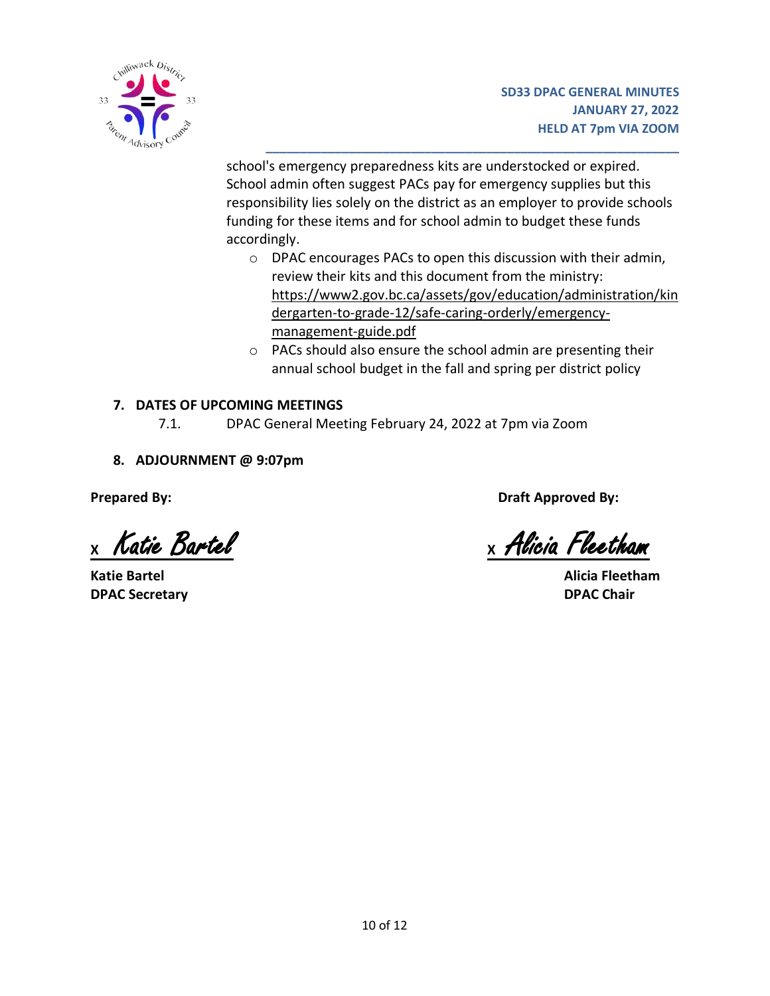

school's emergency preparedness kits are understocked or expired. School admin often suggest PACs pay for emergency supplies but this responsibility lies solely on the district as an employer to provide schools funding for these items and for school admin to budget these funds accordingly.

**\_\_\_\_\_\_\_\_\_\_\_\_\_\_\_\_\_\_\_\_\_\_\_\_\_\_\_\_\_\_\_\_\_\_\_\_\_\_\_\_\_\_\_\_\_\_\_\_\_\_\_\_\_\_\_\_\_\_\_\_**

- o DPAC encourages PACs to open this discussion with their admin, review their kits and this document from the ministry: [https://www2.gov.bc.ca/assets/gov/education/administration/kin](https://www2.gov.bc.ca/assets/gov/education/administration/kindergarten-to-grade-12/safe-caring-orderly/emergency-management-guide.pdf) [dergarten-to-grade-12/safe-caring-orderly/emergency](https://www2.gov.bc.ca/assets/gov/education/administration/kindergarten-to-grade-12/safe-caring-orderly/emergency-management-guide.pdf)[management-guide.pdf](https://www2.gov.bc.ca/assets/gov/education/administration/kindergarten-to-grade-12/safe-caring-orderly/emergency-management-guide.pdf)
- o PACs should also ensure the school admin are presenting their annual school budget in the fall and spring per district policy

### **7. DATES OF UPCOMING MEETINGS**

- 7.1. DPAC General Meeting February 24, 2022 at 7pm via Zoom
- **8. ADJOURNMENT @ 9:07pm**

**Katie Bartel Alicia Fleetham DPAC Secretary DPAC Chair**

**Prepared By: Draft Approved By:**

**<sup>X</sup>** Katie Bartel **X** Alicia Fleetham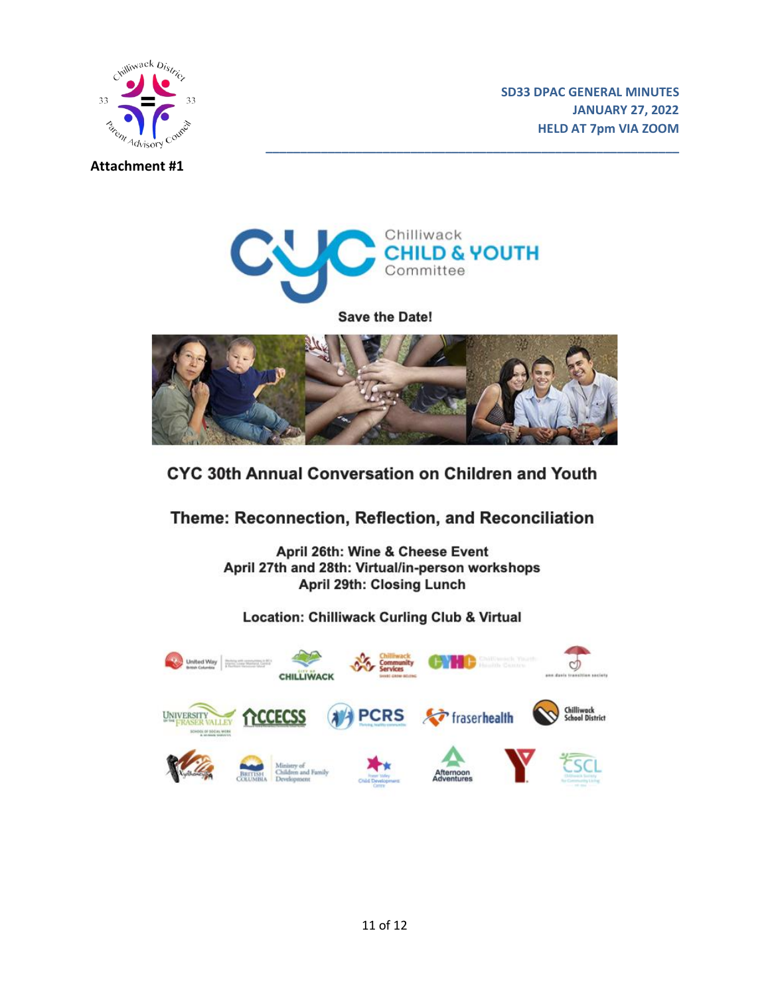



#### **Attachment #1**



**\_\_\_\_\_\_\_\_\_\_\_\_\_\_\_\_\_\_\_\_\_\_\_\_\_\_\_\_\_\_\_\_\_\_\_\_\_\_\_\_\_\_\_\_\_\_\_\_\_\_\_\_\_\_\_\_\_\_\_\_**

Save the Date!



# CYC 30th Annual Conversation on Children and Youth

Theme: Reconnection, Reflection, and Reconciliation

April 26th: Wine & Cheese Event April 27th and 28th: Virtual/in-person workshops April 29th: Closing Lunch

## **Location: Chilliwack Curling Club & Virtual**